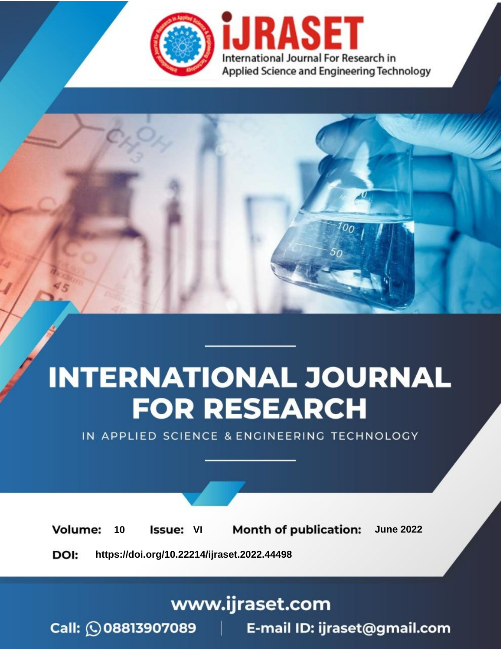

# **INTERNATIONAL JOURNAL FOR RESEARCH**

IN APPLIED SCIENCE & ENGINEERING TECHNOLOGY

**Month of publication: Volume:** 10 **Issue: VI June 2022** 

DOI: https://doi.org/10.22214/ijraset.2022.44498

www.ijraset.com

Call: 008813907089 | E-mail ID: ijraset@gmail.com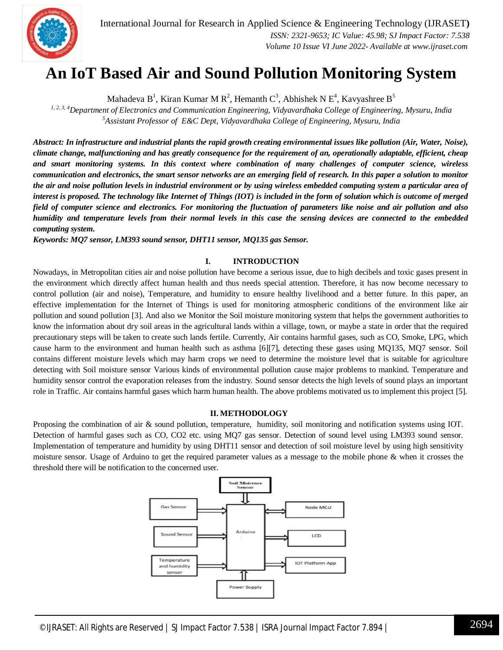International Journal for Research in Applied Science & Engineering Technology (IJRASET**)**  *ISSN: 2321-9653; IC Value: 45.98; SJ Impact Factor: 7.538 Volume 10 Issue VI June 2022- Available at www.ijraset.com*

### **An IoT Based Air and Sound Pollution Monitoring System**

Mahadeva B<sup>1</sup>, Kiran Kumar M R<sup>2</sup>, Hemanth C<sup>3</sup>, Abhishek N E<sup>4</sup>, Kavyashree B<sup>5</sup>

*1, 2, 3, 4Department of Electronics and Communication Engineering, Vidyavardhaka College of Engineering, Mysuru, India <sup>5</sup>Assistant Professor of E&C Dept, Vidyavardhaka College of Engineering, Mysuru, India*

*Abstract: In infrastructure and industrial plants the rapid growth creating environmental issues like pollution (Air, Water, Noise), climate change, malfunctioning and has greatly consequence for the requirement of an, operationally adaptable, efficient, cheap and smart monitoring systems. In this context where combination of many challenges of computer science, wireless communication and electronics, the smart sensor networks are an emerging field of research. In this paper a solution to monitor the air and noise pollution levels in industrial environment or by using wireless embedded computing system a particular area of interest is proposed. The technology like Internet of Things (IOT) is included in the form of solution which is outcome of merged field of computer science and electronics. For monitoring the fluctuation of parameters like noise and air pollution and also humidity and temperature levels from their normal levels in this case the sensing devices are connected to the embedded computing system.*

*Keywords: MQ7 sensor, LM393 sound sensor, DHT11 sensor, MQ135 gas Sensor.*

#### **I. INTRODUCTION**

Nowadays, in Metropolitan cities air and noise pollution have become a serious issue, due to high decibels and toxic gases present in the environment which directly affect human health and thus needs special attention. Therefore, it has now become necessary to control pollution (air and noise), Temperature, and humidity to ensure healthy livelihood and a better future. In this paper, an effective implementation for the Internet of Things is used for monitoring atmospheric conditions of the environment like air pollution and sound pollution [3]. And also we Monitor the Soil moisture monitoring system that helps the government authorities to know the information about dry soil areas in the agricultural lands within a village, town, or maybe a state in order that the required precautionary steps will be taken to create such lands fertile. Currently, Air contains harmful gases, such as CO, Smoke, LPG, which cause harm to the environment and human health such as asthma [6][7], detecting these gases using MQ135, MQ7 sensor. Soil contains different moisture levels which may harm crops we need to determine the moisture level that is suitable for agriculture detecting with Soil moisture sensor Various kinds of environmental pollution cause major problems to mankind. Temperature and humidity sensor control the evaporation releases from the industry. Sound sensor detects the high levels of sound plays an important role in Traffic. Air contains harmful gases which harm human health. The above problems motivated us to implement this project [5].

#### **II. METHODOLOGY**

Proposing the combination of air & sound pollution, temperature, humidity, soil monitoring and notification systems using IOT. Detection of harmful gases such as CO, CO2 etc. using MQ7 gas sensor. Detection of sound level using LM393 sound sensor. Implementation of temperature and humidity by using DHT11 sensor and detection of soil moisture level by using high sensitivity moisture sensor. Usage of Arduino to get the required parameter values as a message to the mobile phone & when it crosses the threshold there will be notification to the concerned user.

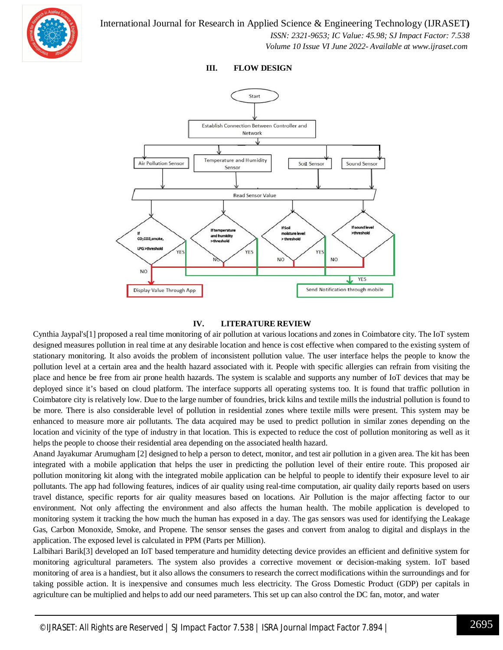

 *ISSN: 2321-9653; IC Value: 45.98; SJ Impact Factor: 7.538 Volume 10 Issue VI June 2022- Available at www.ijraset.com*

**III. FLOW DESIGN**



#### **IV. LITERATURE REVIEW**

Cynthia Jaypal's[1] proposed a real time monitoring of air pollution at various locations and zones in Coimbatore city. The IoT system designed measures pollution in real time at any desirable location and hence is cost effective when compared to the existing system of stationary monitoring. It also avoids the problem of inconsistent pollution value. The user interface helps the people to know the pollution level at a certain area and the health hazard associated with it. People with specific allergies can refrain from visiting the place and hence be free from air prone health hazards. The system is scalable and supports any number of IoT devices that may be deployed since it's based on cloud platform. The interface supports all operating systems too. It is found that traffic pollution in Coimbatore city is relatively low. Due to the large number of foundries, brick kilns and textile mills the industrial pollution is found to be more. There is also considerable level of pollution in residential zones where textile mills were present. This system may be enhanced to measure more air pollutants. The data acquired may be used to predict pollution in similar zones depending on the location and vicinity of the type of industry in that location. This is expected to reduce the cost of pollution monitoring as well as it helps the people to choose their residential area depending on the associated health hazard.

Anand Jayakumar Arumugham [2] designed to help a person to detect, monitor, and test air pollution in a given area. The kit has been integrated with a mobile application that helps the user in predicting the pollution level of their entire route. This proposed air pollution monitoring kit along with the integrated mobile application can be helpful to people to identify their exposure level to air pollutants. The app had following features, indices of air quality using real-time computation, air quality daily reports based on users travel distance, specific reports for air quality measures based on locations. Air Pollution is the major affecting factor to our environment. Not only affecting the environment and also affects the human health. The mobile application is developed to monitoring system it tracking the how much the human has exposed in a day. The gas sensors was used for identifying the Leakage Gas, Carbon Monoxide, Smoke, and Propene. The sensor senses the gases and convert from analog to digital and displays in the application. The exposed level is calculated in PPM (Parts per Million).

Lalbihari Barik[3] developed an IoT based temperature and humidity detecting device provides an efficient and definitive system for monitoring agricultural parameters. The system also provides a corrective movement or decision-making system. IoT based monitoring of area is a handiest, but it also allows the consumers to research the correct modifications within the surroundings and for taking possible action. It is inexpensive and consumes much less electricity. The Gross Domestic Product (GDP) per capitals in agriculture can be multiplied and helps to add our need parameters. This set up can also control the DC fan, motor, and water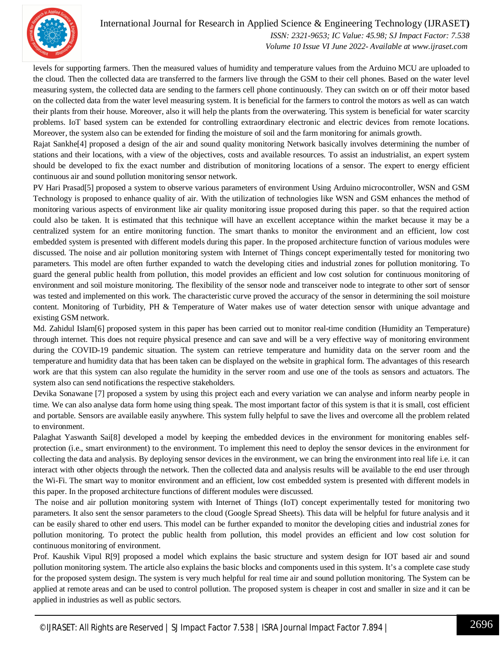

International Journal for Research in Applied Science & Engineering Technology (IJRASET**)**  *ISSN: 2321-9653; IC Value: 45.98; SJ Impact Factor: 7.538 Volume 10 Issue VI June 2022- Available at www.ijraset.com*

levels for supporting farmers. Then the measured values of humidity and temperature values from the Arduino MCU are uploaded to the cloud. Then the collected data are transferred to the farmers live through the GSM to their cell phones. Based on the water level measuring system, the collected data are sending to the farmers cell phone continuously. They can switch on or off their motor based on the collected data from the water level measuring system. It is beneficial for the farmers to control the motors as well as can watch their plants from their house. Moreover, also it will help the plants from the overwatering. This system is beneficial for water scarcity problems. IoT based system can be extended for controlling extraordinary electronic and electric devices from remote locations. Moreover, the system also can be extended for finding the moisture of soil and the farm monitoring for animals growth.

Rajat Sankhe[4] proposed a design of the air and sound quality monitoring Network basically involves determining the number of stations and their locations, with a view of the objectives, costs and available resources. To assist an industrialist, an expert system should be developed to fix the exact number and distribution of monitoring locations of a sensor. The expert to energy efficient continuous air and sound pollution monitoring sensor network.

PV Hari Prasad[5] proposed a system to observe various parameters of environment Using Arduino microcontroller, WSN and GSM Technology is proposed to enhance quality of air. With the utilization of technologies like WSN and GSM enhances the method of monitoring various aspects of environment like air quality monitoring issue proposed during this paper. so that the required action could also be taken. It is estimated that this technique will have an excellent acceptance within the market because it may be a centralized system for an entire monitoring function. The smart thanks to monitor the environment and an efficient, low cost embedded system is presented with different models during this paper. In the proposed architecture function of various modules were discussed. The noise and air pollution monitoring system with Internet of Things concept experimentally tested for monitoring two parameters. This model are often further expanded to watch the developing cities and industrial zones for pollution monitoring. To guard the general public health from pollution, this model provides an efficient and low cost solution for continuous monitoring of environment and soil moisture monitoring. The flexibility of the sensor node and transceiver node to integrate to other sort of sensor was tested and implemented on this work. The characteristic curve proved the accuracy of the sensor in determining the soil moisture content. Monitoring of Turbidity, PH & Temperature of Water makes use of water detection sensor with unique advantage and existing GSM network.

Md. Zahidul Islam[6] proposed system in this paper has been carried out to monitor real-time condition (Humidity an Temperature) through internet. This does not require physical presence and can save and will be a very effective way of monitoring environment during the COVID-19 pandemic situation. The system can retrieve temperature and humidity data on the server room and the temperature and humidity data that has been taken can be displayed on the website in graphical form. The advantages of this research work are that this system can also regulate the humidity in the server room and use one of the tools as sensors and actuators. The system also can send notifications the respective stakeholders.

Devika Sonawane [7] proposed a system by using this project each and every variation we can analyse and inform nearby people in time. We can also analyse data form home using thing speak. The most important factor of this system is that it is small, cost efficient and portable. Sensors are available easily anywhere. This system fully helpful to save the lives and overcome all the problem related to environment.

Palaghat Yaswanth Sai[8] developed a model by keeping the embedded devices in the environment for monitoring enables selfprotection (i.e., smart environment) to the environment. To implement this need to deploy the sensor devices in the environment for collecting the data and analysis. By deploying sensor devices in the environment, we can bring the environment into real life i.e. it can interact with other objects through the network. Then the collected data and analysis results will be available to the end user through the Wi-Fi. The smart way to monitor environment and an efficient, low cost embedded system is presented with different models in this paper. In the proposed architecture functions of different modules were discussed.

The noise and air pollution monitoring system with Internet of Things (IoT) concept experimentally tested for monitoring two parameters. It also sent the sensor parameters to the cloud (Google Spread Sheets). This data will be helpful for future analysis and it can be easily shared to other end users. This model can be further expanded to monitor the developing cities and industrial zones for pollution monitoring. To protect the public health from pollution, this model provides an efficient and low cost solution for continuous monitoring of environment.

Prof. Kaushik Vipul R[9] proposed a model which explains the basic structure and system design for IOT based air and sound pollution monitoring system. The article also explains the basic blocks and components used in this system. It's a complete case study for the proposed system design. The system is very much helpful for real time air and sound pollution monitoring. The System can be applied at remote areas and can be used to control pollution. The proposed system is cheaper in cost and smaller in size and it can be applied in industries as well as public sectors.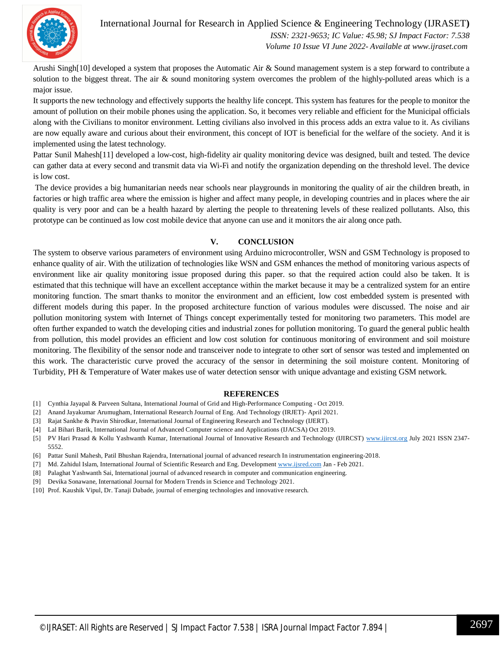

#### International Journal for Research in Applied Science & Engineering Technology (IJRASET**)**  *ISSN: 2321-9653; IC Value: 45.98; SJ Impact Factor: 7.538*

 *Volume 10 Issue VI June 2022- Available at www.ijraset.com*

Arushi Singh[10] developed a system that proposes the Automatic Air & Sound management system is a step forward to contribute a solution to the biggest threat. The air & sound monitoring system overcomes the problem of the highly-polluted areas which is a major issue.

It supports the new technology and effectively supports the healthy life concept. This system has features for the people to monitor the amount of pollution on their mobile phones using the application. So, it becomes very reliable and efficient for the Municipal officials along with the Civilians to monitor environment. Letting civilians also involved in this process adds an extra value to it. As civilians are now equally aware and curious about their environment, this concept of IOT is beneficial for the welfare of the society. And it is implemented using the latest technology.

Pattar Sunil Mahesh[11] developed a low-cost, high-fidelity air quality monitoring device was designed, built and tested. The device can gather data at every second and transmit data via Wi-Fi and notify the organization depending on the threshold level. The device is low cost.

The device provides a big humanitarian needs near schools near playgrounds in monitoring the quality of air the children breath, in factories or high traffic area where the emission is higher and affect many people, in developing countries and in places where the air quality is very poor and can be a health hazard by alerting the people to threatening levels of these realized pollutants. Also, this prototype can be continued as low cost mobile device that anyone can use and it monitors the air along once path.

#### **V. CONCLUSION**

The system to observe various parameters of environment using Arduino microcontroller, WSN and GSM Technology is proposed to enhance quality of air. With the utilization of technologies like WSN and GSM enhances the method of monitoring various aspects of environment like air quality monitoring issue proposed during this paper. so that the required action could also be taken. It is estimated that this technique will have an excellent acceptance within the market because it may be a centralized system for an entire monitoring function. The smart thanks to monitor the environment and an efficient, low cost embedded system is presented with different models during this paper. In the proposed architecture function of various modules were discussed. The noise and air pollution monitoring system with Internet of Things concept experimentally tested for monitoring two parameters. This model are often further expanded to watch the developing cities and industrial zones for pollution monitoring. To guard the general public health from pollution, this model provides an efficient and low cost solution for continuous monitoring of environment and soil moisture monitoring. The flexibility of the sensor node and transceiver node to integrate to other sort of sensor was tested and implemented on this work. The characteristic curve proved the accuracy of the sensor in determining the soil moisture content. Monitoring of Turbidity, PH & Temperature of Water makes use of water detection sensor with unique advantage and existing GSM network.

#### **REFERENCES**

- [1] Cynthia Jayapal & Parveen Sultana, International Journal of Grid and High-Performance Computing Oct 2019.
- [2] Anand Jayakumar Arumugham, International Research Journal of Eng. And Technology (IRJET)- April 2021.
- [3] Rajat Sankhe & Pravin Shirodkar, International Journal of Engineering Research and Technology (IJERT).
- [4] Lal Bihari Barik, International Journal of Advanced Computer science and Applications (IJACSA) Oct 2019.
- [5] PV Hari Prasad & Kollu Yashwanth Kumar, International Journal of Innovative Research and Technology (IJIRCST) www.ijircst.org July 2021 ISSN 2347-5552.
- [6] Pattar Sunil Mahesh, Patil Bhushan Rajendra, International journal of advanced research In instrumentation engineering-2018.
- [7] Md. Zahidul Islam, International Journal of Scientific Research and Eng. Development www.ijsred.com Jan Feb 2021.
- [8] Palaghat Yashwanth Sai, International journal of advanced research in computer and communication engineering.
- [9] Devika Sonawane, International Journal for Modern Trends in Science and Technology 2021.
- [10] Prof. Kaushik Vipul, Dr. Tanaji Dabade, journal of emerging technologies and innovative research.